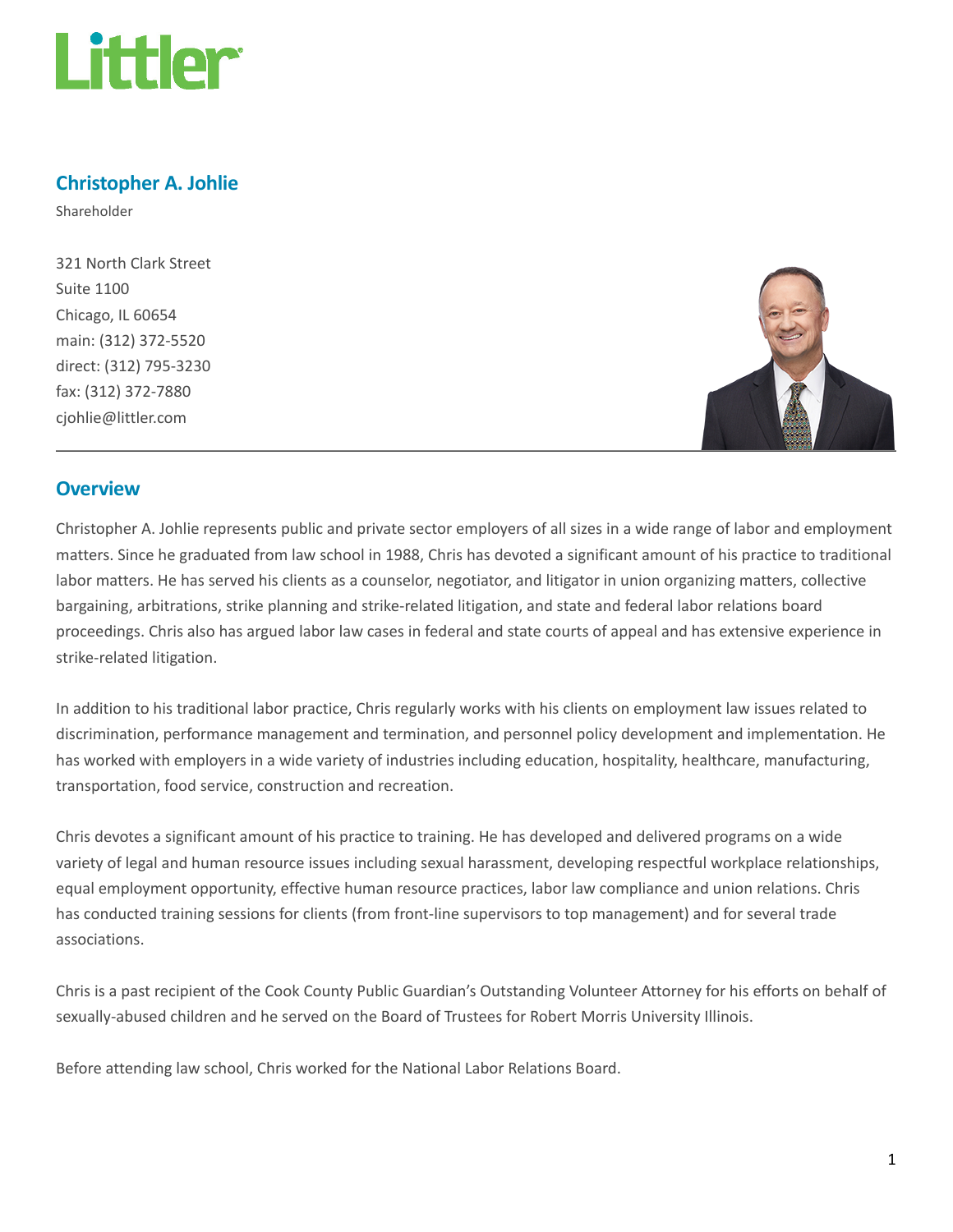

# Christopher A. Johlie

Shareholder

321 North Clark Street Suite 1100 Chicago, IL 60654 main: (312) 372-5520 direct: (312) 795-3230 fax: (312) 372-7880 cjohlie@littler.com



## **Overview**

Christopher A. Johlie represents public and private sector employers of all sizes in a wide range of labor and employment matters. Since he graduated from law school in 1988, Chris has devoted a significant amount of his practice to traditional labor matters. He has served his clients as a counselor, negotiator, and litigator in union organizing matters, collective bargaining, arbitrations, strike planning and strike-related litigation, and state and federal labor relations board proceedings. Chris also has argued labor law cases in federal and state courts of appeal and has extensive experience in strike-related litigation.

In addition to his traditional labor practice, Chris regularly works with his clients on employment law issues related to discrimination, performance management and termination, and personnel policy development and implementation. He has worked with employers in a wide variety of industries including education, hospitality, healthcare, manufacturing, transportation, food service, construction and recreation.

Chris devotes a significant amount of his practice to training. He has developed and delivered programs on a wide variety of legal and human resource issues including sexual harassment, developing respectful workplace relationships, equal employment opportunity, effective human resource practices, labor law compliance and union relations. Chris has conducted training sessions for clients (from front-line supervisors to top management) and for several trade associations.

Chris is a past recipient of the Cook County Public Guardian's Outstanding Volunteer Attorney for his efforts on behalf of sexually-abused children and he served on the Board of Trustees for Robert Morris University Illinois.

Before attending law school, Chris worked for the National Labor Relations Board.